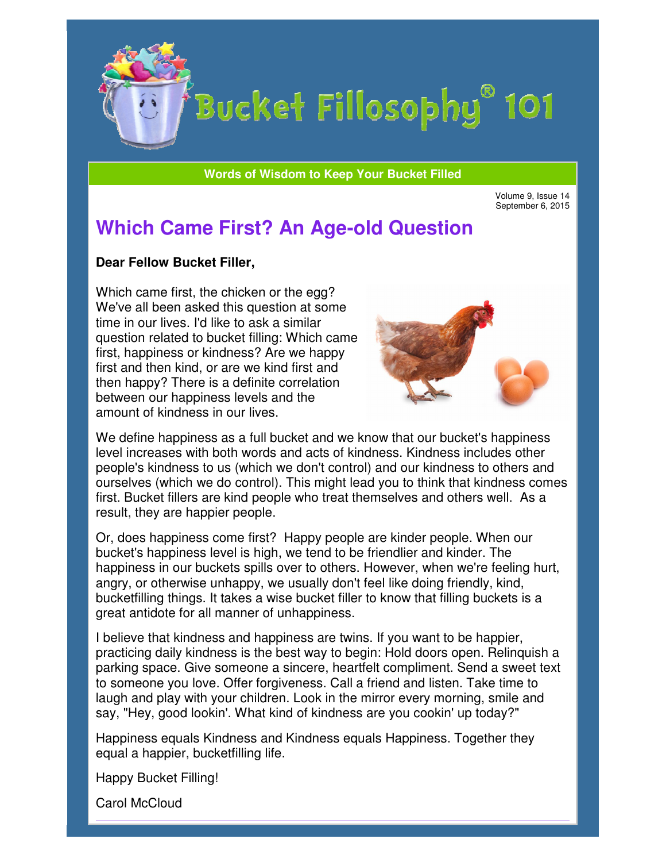

**Words of Wisdom to Keep Your Bucket Filled Wisdom** 

Volume 9, Issue 14 September 6, 2015

## **Which Came First? An Age An Age-old Question**

## **Dear Fellow Bucket Filler Filler,**

Which came first, the chicken or the egg? We've all been asked this question at some time in our lives. I'd like to ask a similar question related to bucket filling: Which came first, happiness or kindness? Are we happy first and then kind, or are we kind first and then happy? There is a definite correlation between our happiness levels and the amount of kindness in our lives. time in our lives. I'd like to ask a similar<br>question related to bucket filling: Which came<br>first, happiness or kindness? Are we happy<br>first and then happy? There is a definite correlation<br>between our happiness levels and



level increases with both words and acts of kindness. Kindness includes other people's kindness to us (which we don't control) and our kindness to others and ourselves (which we do control). This might lead you to think that kindness comes<br>first. Bucket fillers are kind people who treat themselves and others well. As a first. Bucket fillers are kind people who treat themselves and others well. result, they are happier people.

Or, does happiness come first? Happy people are kinder people. When our bucket's happiness level is high, we tend to be friendlier and kinder. The happiness in our buckets spills over to others. However, when we're feeling hurt, Or, does happiness come first? Happy people are kinder people. When our bucket's happiness level is high, we tend to be friendlier and kinder. The happiness in our buckets spills over to others. However, when we're feeling bucketfilling things. It takes a wise bucket filler to know that filling buckets is a great antidote for all manner of unhappiness. people's kindness to us (which we don't control) and our kindness to others ane<br>ourselves (which we do control). This might lead you to think that kindness con<br>first. Bucket fillers are kind people who treat themselves and

I believe that kindness and happiness are twins. If you want to be happier, practicing daily kindness is the best way to begin: Hold doors open. Relinquish a parking space. Give someone a sincere, heartfelt compliment. Send a sweet text to someone you love. Offer forgiveness. Call a friend and listen. Take time to laugh and play with your children. Look in the mirror every morning, smile and say, "Hey, good lookin'. What kind of kindness are you cookin' up today?"

Happiness equals Kindness and Kindness equals Happiness. Together they equal a happier, bucketfilling life.

Happy Bucket Filling!

Carol McCloud